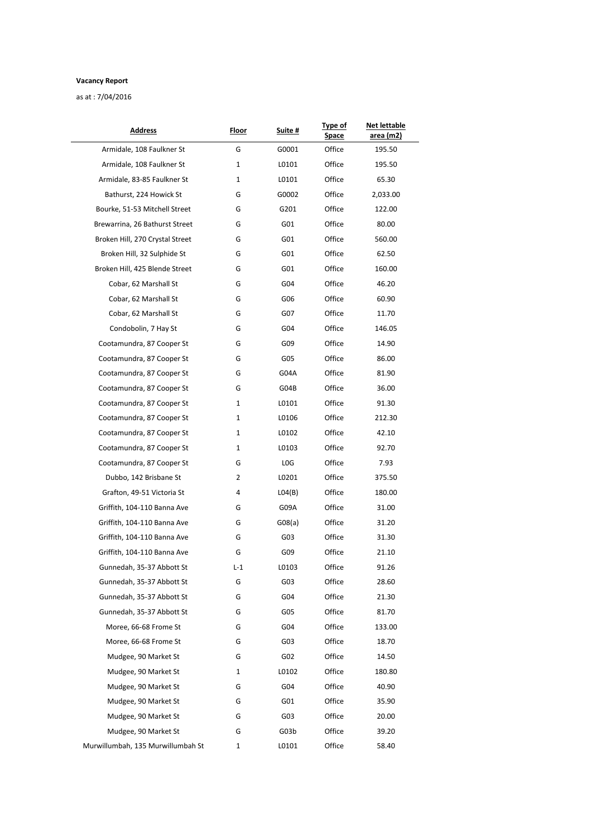## **Vacancy Report**

as at : 7/04/2016

|       | <u>Suite #</u>  | Space  | area (m2) |  |
|-------|-----------------|--------|-----------|--|
| G     | G0001           | Office | 195.50    |  |
| 1     | L0101           | Office | 195.50    |  |
| 1     | L0101           | Office | 65.30     |  |
| G     | G0002           | Office | 2,033.00  |  |
| G     | G201            | Office | 122.00    |  |
| G     | G01             | Office | 80.00     |  |
| G     | G01             | Office | 560.00    |  |
| G     | G01             | Office | 62.50     |  |
| G     | G01             | Office | 160.00    |  |
| G     | G04             | Office | 46.20     |  |
| G     | G06             | Office | 60.90     |  |
| G     | G07             | Office | 11.70     |  |
| G     | G04             | Office | 146.05    |  |
| G     | G09             | Office | 14.90     |  |
| G     | G05             | Office | 86.00     |  |
| G     | G04A            | Office | 81.90     |  |
| G     | G04B            | Office | 36.00     |  |
| 1     | L0101           | Office | 91.30     |  |
| 1     | L0106           | Office | 212.30    |  |
| 1     | L0102           | Office | 42.10     |  |
| 1     | L0103           | Office | 92.70     |  |
| G     | LOG             | Office | 7.93      |  |
| 2     | L0201           | Office | 375.50    |  |
| 4     | LO4(B)          | Office | 180.00    |  |
| G     | G09A            | Office | 31.00     |  |
| G     | G08(a)          | Office | 31.20     |  |
| G     | G03             | Office | 31.30     |  |
| G     | G09             | Office | 21.10     |  |
| $L-1$ | L0103           | Office | 91.26     |  |
| G     | G03             | Office | 28.60     |  |
| G     | G04             | Office | 21.30     |  |
| G     | G05             | Office | 81.70     |  |
| G     | G04             | Office | 133.00    |  |
| G     | G03             | Office | 18.70     |  |
| G     | G02             | Office | 14.50     |  |
| 1     | L0102           | Office | 180.80    |  |
| G     | G04             | Office | 40.90     |  |
| G     | G01             | Office | 35.90     |  |
| G     | G <sub>03</sub> | Office | 20.00     |  |
| G     | G03b            | Office | 39.20     |  |
| 1     | L0101           | Office | 58.40     |  |
|       |                 |        |           |  |